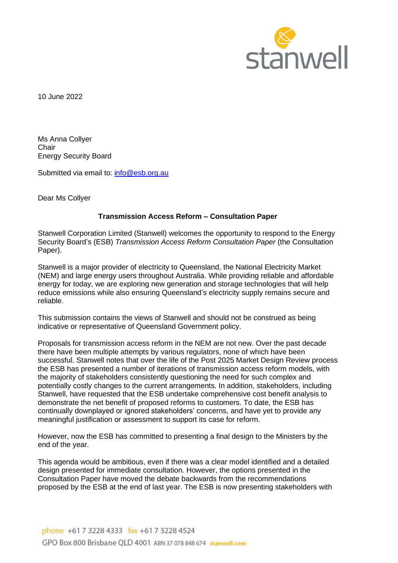

10 June 2022

Ms Anna Collyer **Chair** Energy Security Board

Submitted via email to: [info@esb.org.au](mailto:info@esb.org.au)

Dear Ms Collyer

# **Transmission Access Reform – Consultation Paper**

Stanwell Corporation Limited (Stanwell) welcomes the opportunity to respond to the Energy Security Board's (ESB) *Transmission Access Reform Consultation Paper* (the Consultation Paper).

Stanwell is a major provider of electricity to Queensland, the National Electricity Market (NEM) and large energy users throughout Australia. While providing reliable and affordable energy for today, we are exploring new generation and storage technologies that will help reduce emissions while also ensuring Queensland's electricity supply remains secure and reliable.

This submission contains the views of Stanwell and should not be construed as being indicative or representative of Queensland Government policy.

Proposals for transmission access reform in the NEM are not new. Over the past decade there have been multiple attempts by various regulators, none of which have been successful. Stanwell notes that over the life of the Post 2025 Market Design Review process the ESB has presented a number of iterations of transmission access reform models, with the majority of stakeholders consistently questioning the need for such complex and potentially costly changes to the current arrangements. In addition, stakeholders, including Stanwell, have requested that the ESB undertake comprehensive cost benefit analysis to demonstrate the net benefit of proposed reforms to customers. To date, the ESB has continually downplayed or ignored stakeholders' concerns, and have yet to provide any meaningful justification or assessment to support its case for reform.

However, now the ESB has committed to presenting a final design to the Ministers by the end of the year.

This agenda would be ambitious, even if there was a clear model identified and a detailed design presented for immediate consultation. However, the options presented in the Consultation Paper have moved the debate backwards from the recommendations proposed by the ESB at the end of last year. The ESB is now presenting stakeholders with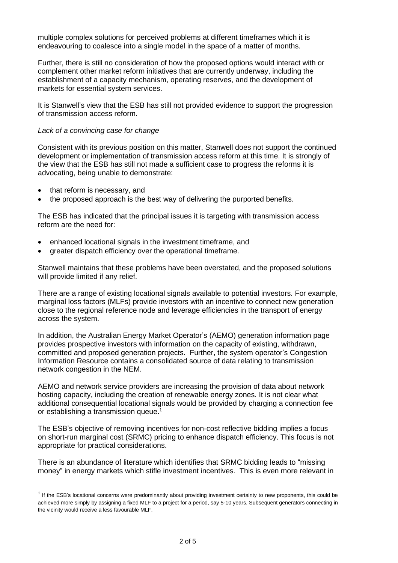multiple complex solutions for perceived problems at different timeframes which it is endeavouring to coalesce into a single model in the space of a matter of months.

Further, there is still no consideration of how the proposed options would interact with or complement other market reform initiatives that are currently underway, including the establishment of a capacity mechanism, operating reserves, and the development of markets for essential system services.

It is Stanwell's view that the ESB has still not provided evidence to support the progression of transmission access reform.

# *Lack of a convincing case for change*

Consistent with its previous position on this matter, Stanwell does not support the continued development or implementation of transmission access reform at this time. It is strongly of the view that the ESB has still not made a sufficient case to progress the reforms it is advocating, being unable to demonstrate:

- that reform is necessary, and
- the proposed approach is the best way of delivering the purported benefits.

The ESB has indicated that the principal issues it is targeting with transmission access reform are the need for:

- enhanced locational signals in the investment timeframe, and
- greater dispatch efficiency over the operational timeframe.

Stanwell maintains that these problems have been overstated, and the proposed solutions will provide limited if any relief.

There are a range of existing locational signals available to potential investors. For example, marginal loss factors (MLFs) provide investors with an incentive to connect new generation close to the regional reference node and leverage efficiencies in the transport of energy across the system.

In addition, the Australian Energy Market Operator's (AEMO) generation information page provides prospective investors with information on the capacity of existing, withdrawn, committed and proposed generation projects. Further, the system operator's Congestion Information Resource contains a consolidated source of data relating to transmission network congestion in the NEM.

AEMO and network service providers are increasing the provision of data about network hosting capacity, including the creation of renewable energy zones. It is not clear what additional consequential locational signals would be provided by charging a connection fee or establishing a transmission queue. 1

The ESB's objective of removing incentives for non-cost reflective bidding implies a focus on short-run marginal cost (SRMC) pricing to enhance dispatch efficiency. This focus is not appropriate for practical considerations.

There is an abundance of literature which identifies that SRMC bidding leads to "missing money" in energy markets which stifle investment incentives. This is even more relevant in

<sup>&</sup>lt;sup>1</sup> If the ESB's locational concerns were predominantly about providing investment certainty to new proponents, this could be achieved more simply by assigning a fixed MLF to a project for a period, say 5-10 years. Subsequent generators connecting in the vicinity would receive a less favourable MLF.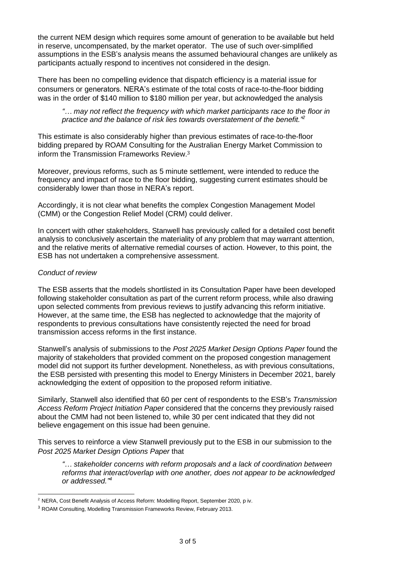the current NEM design which requires some amount of generation to be available but held in reserve, uncompensated, by the market operator. The use of such over-simplified assumptions in the ESB's analysis means the assumed behavioural changes are unlikely as participants actually respond to incentives not considered in the design.

There has been no compelling evidence that dispatch efficiency is a material issue for consumers or generators. NERA's estimate of the total costs of race-to-the-floor bidding was in the order of \$140 million to \$180 million per year, but acknowledged the analysis

# *"… may not reflect the frequency with which market participants race to the floor in practice and the balance of risk lies towards overstatement of the benefit." 2*

This estimate is also considerably higher than previous estimates of race-to-the-floor bidding prepared by ROAM Consulting for the Australian Energy Market Commission to inform the Transmission Frameworks Review. 3

Moreover, previous reforms, such as 5 minute settlement, were intended to reduce the frequency and impact of race to the floor bidding, suggesting current estimates should be considerably lower than those in NERA's report.

Accordingly, it is not clear what benefits the complex Congestion Management Model (CMM) or the Congestion Relief Model (CRM) could deliver.

In concert with other stakeholders, Stanwell has previously called for a detailed cost benefit analysis to conclusively ascertain the materiality of any problem that may warrant attention, and the relative merits of alternative remedial courses of action. However, to this point, the ESB has not undertaken a comprehensive assessment.

#### *Conduct of review*

The ESB asserts that the models shortlisted in its Consultation Paper have been developed following stakeholder consultation as part of the current reform process, while also drawing upon selected comments from previous reviews to justify advancing this reform initiative. However, at the same time, the ESB has neglected to acknowledge that the majority of respondents to previous consultations have consistently rejected the need for broad transmission access reforms in the first instance.

Stanwell's analysis of submissions to the *Post 2025 Market Design Options Paper* found the majority of stakeholders that provided comment on the proposed congestion management model did not support its further development. Nonetheless, as with previous consultations, the ESB persisted with presenting this model to Energy Ministers in December 2021, barely acknowledging the extent of opposition to the proposed reform initiative.

Similarly, Stanwell also identified that 60 per cent of respondents to the ESB's *Transmission Access Reform Project Initiation Paper* considered that the concerns they previously raised about the CMM had not been listened to, while 30 per cent indicated that they did not believe engagement on this issue had been genuine.

This serves to reinforce a view Stanwell previously put to the ESB in our submission to the *Post 2025 Market Design Options Paper* that

*"… stakeholder concerns with reform proposals and a lack of coordination between reforms that interact/overlap with one another, does not appear to be acknowledged or addressed." 4*

<sup>2</sup> NERA, Cost Benefit Analysis of Access Reform: Modelling Report, September 2020, p iv.

<sup>&</sup>lt;sup>3</sup> ROAM Consulting, Modelling Transmission Frameworks Review, February 2013.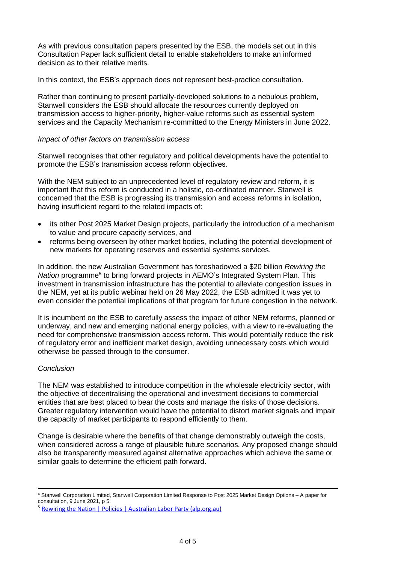As with previous consultation papers presented by the ESB, the models set out in this Consultation Paper lack sufficient detail to enable stakeholders to make an informed decision as to their relative merits.

In this context, the ESB's approach does not represent best-practice consultation.

Rather than continuing to present partially-developed solutions to a nebulous problem, Stanwell considers the ESB should allocate the resources currently deployed on transmission access to higher-priority, higher-value reforms such as essential system services and the Capacity Mechanism re-committed to the Energy Ministers in June 2022.

# *Impact of other factors on transmission access*

Stanwell recognises that other regulatory and political developments have the potential to promote the ESB's transmission access reform objectives.

With the NEM subject to an unprecedented level of regulatory review and reform, it is important that this reform is conducted in a holistic, co-ordinated manner. Stanwell is concerned that the ESB is progressing its transmission and access reforms in isolation, having insufficient regard to the related impacts of:

- its other Post 2025 Market Design projects, particularly the introduction of a mechanism to value and procure capacity services, and
- reforms being overseen by other market bodies, including the potential development of new markets for operating reserves and essential systems services.

In addition, the new Australian Government has foreshadowed a \$20 billion *Rewiring the*  Nation programme<sup>5</sup> to bring forward projects in AEMO's Integrated System Plan. This investment in transmission infrastructure has the potential to alleviate congestion issues in the NEM, yet at its public webinar held on 26 May 2022, the ESB admitted it was yet to even consider the potential implications of that program for future congestion in the network.

It is incumbent on the ESB to carefully assess the impact of other NEM reforms, planned or underway, and new and emerging national energy policies, with a view to re-evaluating the need for comprehensive transmission access reform. This would potentially reduce the risk of regulatory error and inefficient market design, avoiding unnecessary costs which would otherwise be passed through to the consumer.

# *Conclusion*

The NEM was established to introduce competition in the wholesale electricity sector, with the objective of decentralising the operational and investment decisions to commercial entities that are best placed to bear the costs and manage the risks of those decisions. Greater regulatory intervention would have the potential to distort market signals and impair the capacity of market participants to respond efficiently to them.

Change is desirable where the benefits of that change demonstrably outweigh the costs, when considered across a range of plausible future scenarios. Any proposed change should also be transparently measured against alternative approaches which achieve the same or similar goals to determine the efficient path forward.

<sup>4</sup> Stanwell Corporation Limited, Stanwell Corporation Limited Response to Post 2025 Market Design Options – A paper for consultation, 9 June 2021, p 5.

<sup>&</sup>lt;sup>5</sup> [Rewiring the Nation | Policies | Australian Labor Party \(alp.org.au\)](https://alp.org.au/policies/rewiring_the_nation)